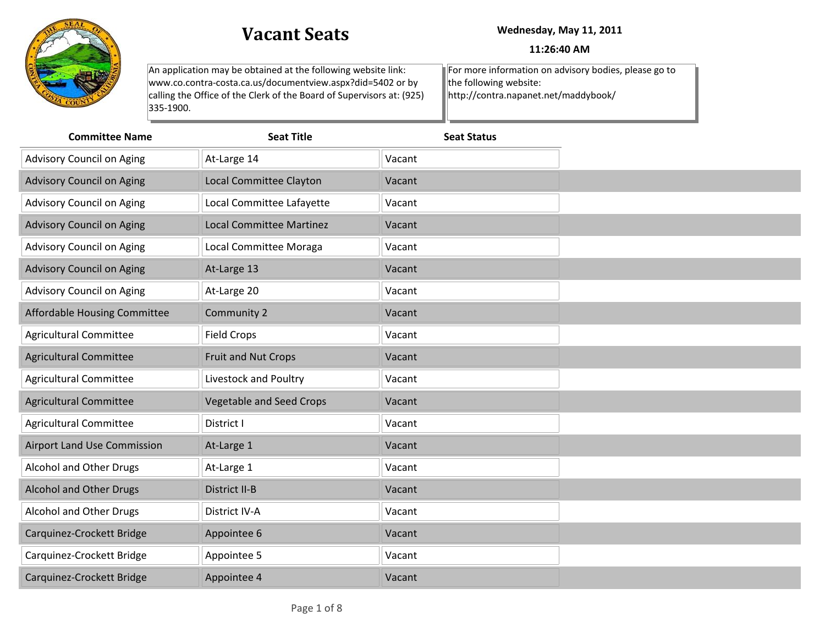

## **Vacant Seats Wednesday, May 11, 2011**

## **11:26:40 AM**

| An application may be obtained at the following website link:         | For more information on advisory bodies, please go to |
|-----------------------------------------------------------------------|-------------------------------------------------------|
| www.co.contra-costa.ca.us/documentview.aspx?did=5402 or by            | $\parallel$ the following website:                    |
| calling the Office of the Clerk of the Board of Supervisors at: (925) | http://contra.napanet.net/maddybook/                  |
| $1335 - 1900.$                                                        |                                                       |
|                                                                       |                                                       |

| <b>Committee Name</b>            | <b>Seat Title</b>               | <b>Seat Status</b> |
|----------------------------------|---------------------------------|--------------------|
| Advisory Council on Aging        | At-Large 14                     | Vacant             |
| <b>Advisory Council on Aging</b> | Local Committee Clayton         | Vacant             |
| Advisory Council on Aging        | Local Committee Lafayette       | Vacant             |
| <b>Advisory Council on Aging</b> | <b>Local Committee Martinez</b> | Vacant             |
| Advisory Council on Aging        | Local Committee Moraga          | Vacant             |
| <b>Advisory Council on Aging</b> | At-Large 13                     | Vacant             |
| Advisory Council on Aging        | At-Large 20                     | Vacant             |
| Affordable Housing Committee     | Community 2                     | Vacant             |
| <b>Agricultural Committee</b>    | <b>Field Crops</b>              | Vacant             |
| <b>Agricultural Committee</b>    | Fruit and Nut Crops             | Vacant             |
| <b>Agricultural Committee</b>    | Livestock and Poultry           | Vacant             |
| <b>Agricultural Committee</b>    | <b>Vegetable and Seed Crops</b> | Vacant             |
| <b>Agricultural Committee</b>    | District I                      | Vacant             |
| Airport Land Use Commission      | At-Large 1                      | Vacant             |
| Alcohol and Other Drugs          | At-Large 1                      | Vacant             |
| Alcohol and Other Drugs          | District II-B                   | Vacant             |
| Alcohol and Other Drugs          | District IV-A                   | Vacant             |
| Carquinez-Crockett Bridge        | Appointee 6                     | Vacant             |
| Carquinez-Crockett Bridge        | Appointee 5                     | Vacant             |
| Carquinez-Crockett Bridge        | Appointee 4                     | Vacant             |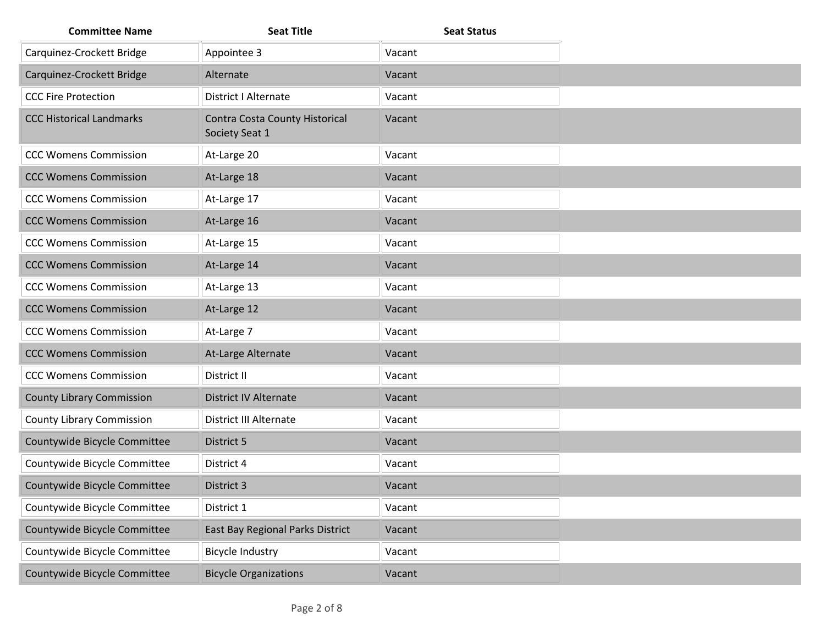| <b>Committee Name</b>            | <b>Seat Title</b>                                | <b>Seat Status</b> |
|----------------------------------|--------------------------------------------------|--------------------|
| Carquinez-Crockett Bridge        | Appointee 3                                      | Vacant             |
| Carquinez-Crockett Bridge        | Alternate                                        | Vacant             |
| <b>CCC Fire Protection</b>       | <b>District I Alternate</b>                      | Vacant             |
| <b>CCC Historical Landmarks</b>  | Contra Costa County Historical<br>Society Seat 1 | Vacant             |
| <b>CCC Womens Commission</b>     | At-Large 20                                      | Vacant             |
| <b>CCC Womens Commission</b>     | At-Large 18                                      | Vacant             |
| <b>CCC Womens Commission</b>     | At-Large 17                                      | Vacant             |
| <b>CCC Womens Commission</b>     | At-Large 16                                      | Vacant             |
| <b>CCC Womens Commission</b>     | At-Large 15                                      | Vacant             |
| <b>CCC Womens Commission</b>     | At-Large 14                                      | Vacant             |
| <b>CCC Womens Commission</b>     | At-Large 13                                      | Vacant             |
| <b>CCC Womens Commission</b>     | At-Large 12                                      | Vacant             |
| <b>CCC Womens Commission</b>     | At-Large 7                                       | Vacant             |
| <b>CCC Womens Commission</b>     | At-Large Alternate                               | Vacant             |
| <b>CCC Womens Commission</b>     | District II                                      | Vacant             |
| <b>County Library Commission</b> | District IV Alternate                            | Vacant             |
| <b>County Library Commission</b> | <b>District III Alternate</b>                    | Vacant             |
| Countywide Bicycle Committee     | District 5                                       | Vacant             |
| Countywide Bicycle Committee     | District 4                                       | Vacant             |
| Countywide Bicycle Committee     | District 3                                       | Vacant             |
| Countywide Bicycle Committee     | District 1                                       | Vacant             |
| Countywide Bicycle Committee     | East Bay Regional Parks District                 | Vacant             |
| Countywide Bicycle Committee     | <b>Bicycle Industry</b>                          | Vacant             |
| Countywide Bicycle Committee     | <b>Bicycle Organizations</b>                     | Vacant             |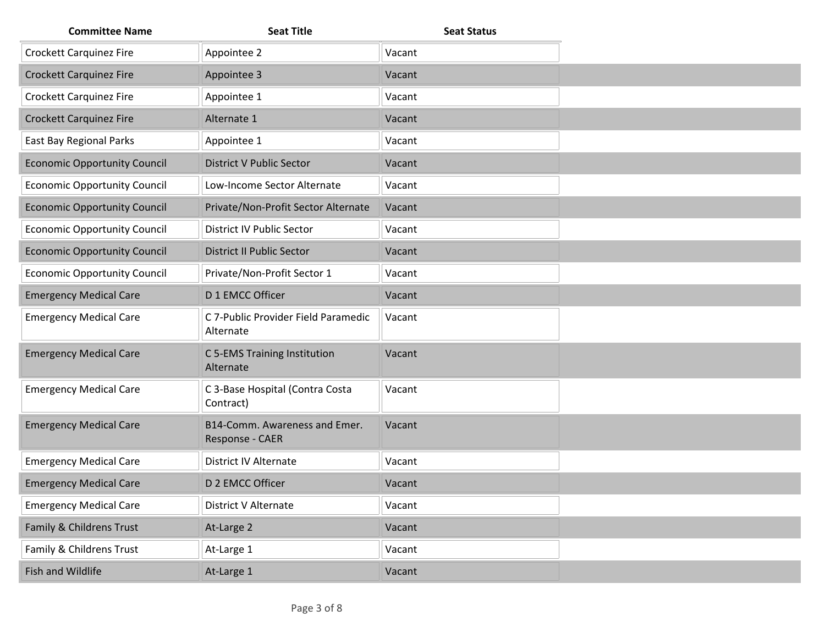| <b>Committee Name</b>               | <b>Seat Title</b>                                | <b>Seat Status</b> |
|-------------------------------------|--------------------------------------------------|--------------------|
| <b>Crockett Carquinez Fire</b>      | Appointee 2                                      | Vacant             |
| <b>Crockett Carquinez Fire</b>      | Appointee 3                                      | Vacant             |
| <b>Crockett Carquinez Fire</b>      | Appointee 1                                      | Vacant             |
| <b>Crockett Carquinez Fire</b>      | Alternate 1                                      | Vacant             |
| East Bay Regional Parks             | Appointee 1                                      | Vacant             |
| <b>Economic Opportunity Council</b> | <b>District V Public Sector</b>                  | Vacant             |
| <b>Economic Opportunity Council</b> | Low-Income Sector Alternate                      | Vacant             |
| <b>Economic Opportunity Council</b> | Private/Non-Profit Sector Alternate              | Vacant             |
| <b>Economic Opportunity Council</b> | District IV Public Sector                        | Vacant             |
| <b>Economic Opportunity Council</b> | <b>District II Public Sector</b>                 | Vacant             |
| <b>Economic Opportunity Council</b> | Private/Non-Profit Sector 1                      | Vacant             |
| <b>Emergency Medical Care</b>       | D 1 EMCC Officer                                 | Vacant             |
| <b>Emergency Medical Care</b>       | C 7-Public Provider Field Paramedic<br>Alternate | Vacant             |
| <b>Emergency Medical Care</b>       | C 5-EMS Training Institution<br>Alternate        | Vacant             |
| <b>Emergency Medical Care</b>       | C 3-Base Hospital (Contra Costa<br>Contract)     | Vacant             |
| <b>Emergency Medical Care</b>       | B14-Comm. Awareness and Emer.<br>Response - CAER | Vacant             |
| <b>Emergency Medical Care</b>       | <b>District IV Alternate</b>                     | Vacant             |
| <b>Emergency Medical Care</b>       | D 2 EMCC Officer                                 | Vacant             |
| <b>Emergency Medical Care</b>       | District V Alternate                             | Vacant             |
| Family & Childrens Trust            | At-Large 2                                       | Vacant             |
| Family & Childrens Trust            | At-Large 1                                       | Vacant             |
| Fish and Wildlife                   | At-Large 1                                       | Vacant             |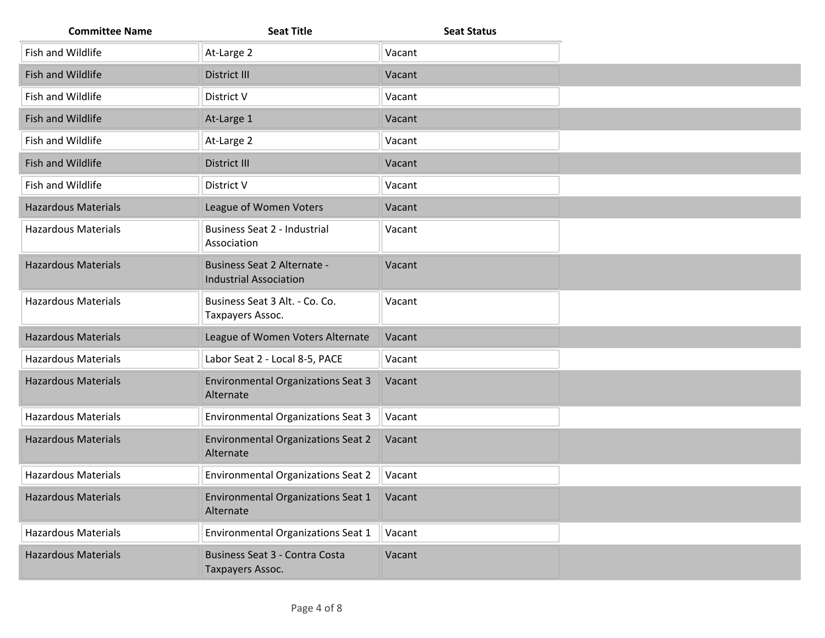| <b>Committee Name</b>      | <b>Seat Title</b>                                                   | <b>Seat Status</b> |
|----------------------------|---------------------------------------------------------------------|--------------------|
| Fish and Wildlife          | At-Large 2                                                          | Vacant             |
| Fish and Wildlife          | District III                                                        | Vacant             |
| Fish and Wildlife          | District V                                                          | Vacant             |
| Fish and Wildlife          | At-Large 1                                                          | Vacant             |
| Fish and Wildlife          | At-Large 2                                                          | Vacant             |
| Fish and Wildlife          | District III                                                        | Vacant             |
| Fish and Wildlife          | District V                                                          | Vacant             |
| <b>Hazardous Materials</b> | League of Women Voters                                              | Vacant             |
| <b>Hazardous Materials</b> | Business Seat 2 - Industrial<br>Association                         | Vacant             |
| <b>Hazardous Materials</b> | <b>Business Seat 2 Alternate -</b><br><b>Industrial Association</b> | Vacant             |
| <b>Hazardous Materials</b> | Business Seat 3 Alt. - Co. Co.<br>Taxpayers Assoc.                  | Vacant             |
| <b>Hazardous Materials</b> | League of Women Voters Alternate                                    | Vacant             |
| <b>Hazardous Materials</b> | Labor Seat 2 - Local 8-5, PACE                                      | Vacant             |
| <b>Hazardous Materials</b> | <b>Environmental Organizations Seat 3</b><br>Alternate              | Vacant             |
| <b>Hazardous Materials</b> | <b>Environmental Organizations Seat 3</b>                           | Vacant             |
| <b>Hazardous Materials</b> | <b>Environmental Organizations Seat 2</b><br>Alternate              | Vacant             |
| <b>Hazardous Materials</b> | <b>Environmental Organizations Seat 2</b>                           | Vacant             |
| <b>Hazardous Materials</b> | <b>Environmental Organizations Seat 1</b><br>Alternate              | Vacant             |
| <b>Hazardous Materials</b> | <b>Environmental Organizations Seat 1</b>                           | Vacant             |
| <b>Hazardous Materials</b> | Business Seat 3 - Contra Costa<br>Taxpayers Assoc.                  | Vacant             |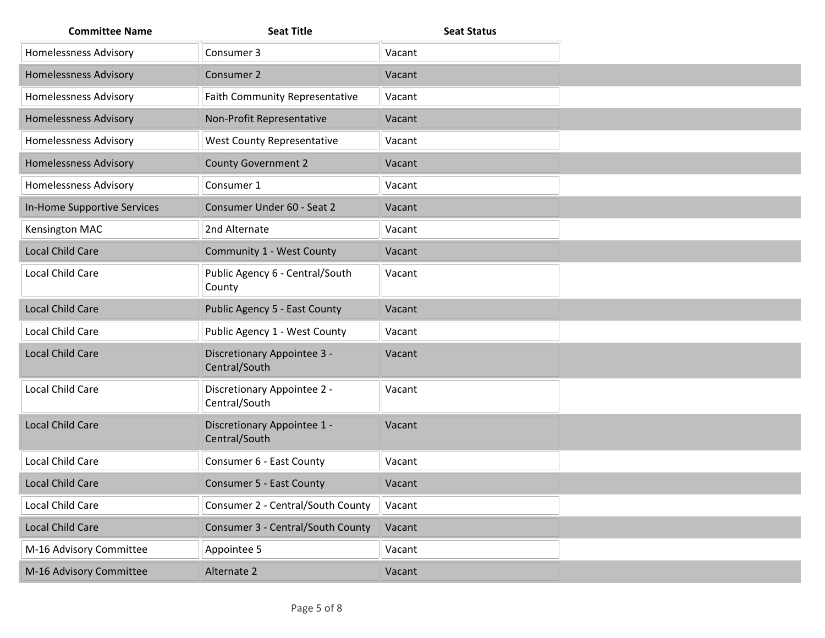| <b>Committee Name</b>        | <b>Seat Title</b>                            | <b>Seat Status</b> |
|------------------------------|----------------------------------------------|--------------------|
| <b>Homelessness Advisory</b> | Consumer 3                                   | Vacant             |
| <b>Homelessness Advisory</b> | Consumer 2                                   | Vacant             |
| <b>Homelessness Advisory</b> | <b>Faith Community Representative</b>        | Vacant             |
| <b>Homelessness Advisory</b> | Non-Profit Representative                    | Vacant             |
| <b>Homelessness Advisory</b> | West County Representative                   | Vacant             |
| <b>Homelessness Advisory</b> | <b>County Government 2</b>                   | Vacant             |
| <b>Homelessness Advisory</b> | Consumer 1                                   | Vacant             |
| In-Home Supportive Services  | Consumer Under 60 - Seat 2                   | Vacant             |
| Kensington MAC               | 2nd Alternate                                | Vacant             |
| <b>Local Child Care</b>      | Community 1 - West County                    | Vacant             |
| Local Child Care             | Public Agency 6 - Central/South<br>County    | Vacant             |
| Local Child Care             | Public Agency 5 - East County                | Vacant             |
| Local Child Care             | Public Agency 1 - West County                | Vacant             |
| Local Child Care             | Discretionary Appointee 3 -<br>Central/South | Vacant             |
| Local Child Care             | Discretionary Appointee 2 -<br>Central/South | Vacant             |
| <b>Local Child Care</b>      | Discretionary Appointee 1 -<br>Central/South | Vacant             |
| Local Child Care             | Consumer 6 - East County                     | Vacant             |
| Local Child Care             | <b>Consumer 5 - East County</b>              | Vacant             |
| Local Child Care             | Consumer 2 - Central/South County            | Vacant             |
| Local Child Care             | Consumer 3 - Central/South County            | Vacant             |
| M-16 Advisory Committee      | Appointee 5                                  | Vacant             |
| M-16 Advisory Committee      | Alternate 2                                  | Vacant             |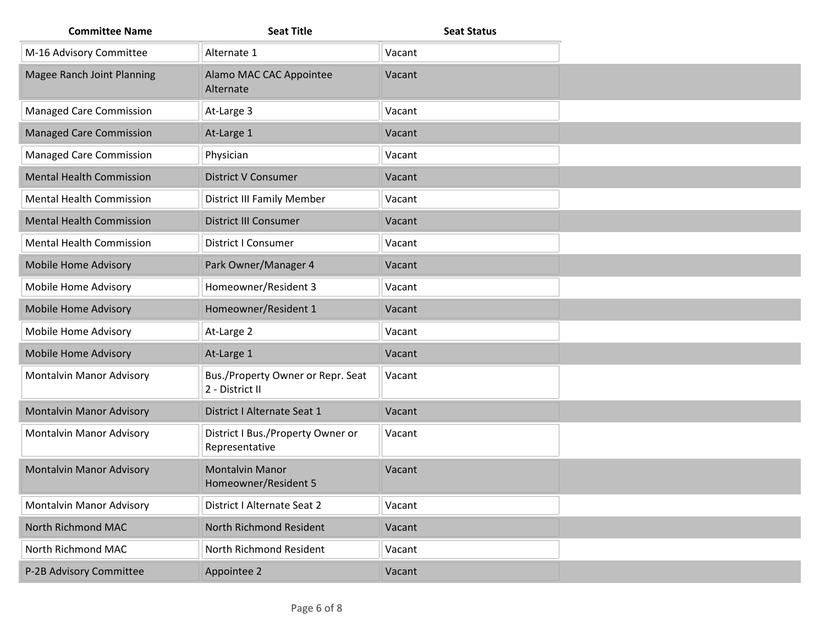| <b>Committee Name</b>           | <b>Seat Title</b>                                    | <b>Seat Status</b> |
|---------------------------------|------------------------------------------------------|--------------------|
| M-16 Advisory Committee         | Alternate 1                                          | Vacant             |
| Magee Ranch Joint Planning      | Alamo MAC CAC Appointee<br>Alternate                 | Vacant             |
| <b>Managed Care Commission</b>  | At-Large 3                                           | Vacant             |
| <b>Managed Care Commission</b>  | At-Large 1                                           | Vacant             |
| <b>Managed Care Commission</b>  | Physician                                            | Vacant             |
| <b>Mental Health Commission</b> | <b>District V Consumer</b>                           | Vacant             |
| <b>Mental Health Commission</b> | <b>District III Family Member</b>                    | Vacant             |
| <b>Mental Health Commission</b> | District III Consumer                                | Vacant             |
| <b>Mental Health Commission</b> | <b>District I Consumer</b>                           | Vacant             |
| Mobile Home Advisory            | Park Owner/Manager 4                                 | Vacant             |
| Mobile Home Advisory            | Homeowner/Resident 3                                 | Vacant             |
| <b>Mobile Home Advisory</b>     | Homeowner/Resident 1                                 | Vacant             |
| Mobile Home Advisory            | At-Large 2                                           | Vacant             |
| Mobile Home Advisory            | At-Large 1                                           | Vacant             |
| Montalvin Manor Advisory        | Bus./Property Owner or Repr. Seat<br>2 - District II | Vacant             |
| <b>Montalvin Manor Advisory</b> | District I Alternate Seat 1                          | Vacant             |
| Montalvin Manor Advisory        | District I Bus./Property Owner or<br>Representative  | Vacant             |
| <b>Montalvin Manor Advisory</b> | <b>Montalvin Manor</b><br>Homeowner/Resident 5       | Vacant             |
| Montalvin Manor Advisory        | District I Alternate Seat 2                          | Vacant             |
| North Richmond MAC              | North Richmond Resident                              | Vacant             |
| North Richmond MAC              | North Richmond Resident                              | Vacant             |
| P-2B Advisory Committee         | Appointee 2                                          | Vacant             |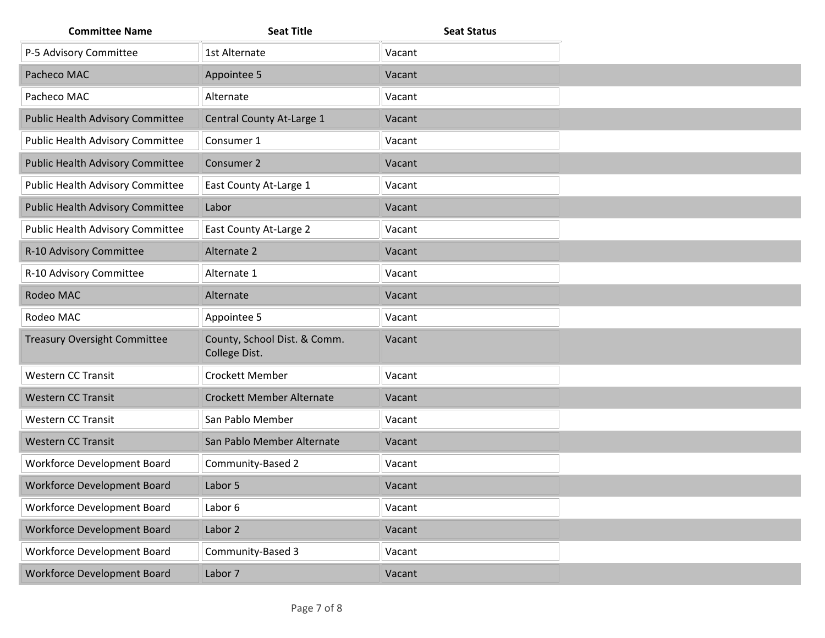| <b>Committee Name</b>               | <b>Seat Title</b>                             | <b>Seat Status</b> |
|-------------------------------------|-----------------------------------------------|--------------------|
| P-5 Advisory Committee              | 1st Alternate                                 | Vacant             |
| Pacheco MAC                         | Appointee 5                                   | Vacant             |
| Pacheco MAC                         | Alternate                                     | Vacant             |
| Public Health Advisory Committee    | Central County At-Large 1                     | Vacant             |
| Public Health Advisory Committee    | Consumer 1                                    | Vacant             |
| Public Health Advisory Committee    | Consumer 2                                    | Vacant             |
| Public Health Advisory Committee    | East County At-Large 1                        | Vacant             |
| Public Health Advisory Committee    | Labor                                         | Vacant             |
| Public Health Advisory Committee    | East County At-Large 2                        | Vacant             |
| R-10 Advisory Committee             | Alternate 2                                   | Vacant             |
| R-10 Advisory Committee             | Alternate 1                                   | Vacant             |
| Rodeo MAC                           | Alternate                                     | Vacant             |
| Rodeo MAC                           | Appointee 5                                   | Vacant             |
| <b>Treasury Oversight Committee</b> | County, School Dist. & Comm.<br>College Dist. | Vacant             |
| <b>Western CC Transit</b>           | Crockett Member                               | Vacant             |
| <b>Western CC Transit</b>           | <b>Crockett Member Alternate</b>              | Vacant             |
| <b>Western CC Transit</b>           | San Pablo Member                              | Vacant             |
| <b>Western CC Transit</b>           | San Pablo Member Alternate                    | Vacant             |
| Workforce Development Board         | Community-Based 2                             | Vacant             |
| <b>Workforce Development Board</b>  | Labor 5                                       | Vacant             |
| Workforce Development Board         | Labor 6                                       | Vacant             |
| Workforce Development Board         | Labor 2                                       | Vacant             |
| Workforce Development Board         | Community-Based 3                             | Vacant             |
| Workforce Development Board         | Labor 7                                       | Vacant             |